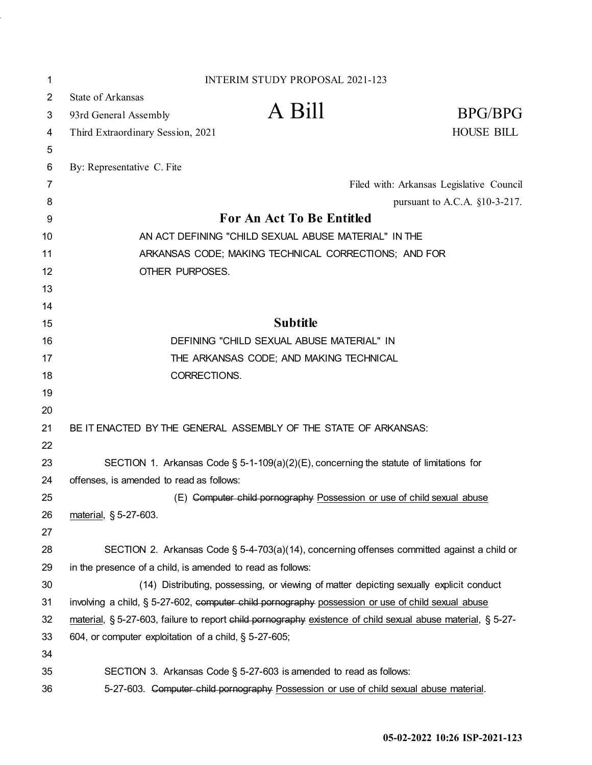| 1  | <b>INTERIM STUDY PROPOSAL 2021-123</b>                                                                      |                                          |
|----|-------------------------------------------------------------------------------------------------------------|------------------------------------------|
| 2  | <b>State of Arkansas</b>                                                                                    |                                          |
| 3  | A Bill<br>93rd General Assembly                                                                             | BPG/BPG                                  |
| 4  | Third Extraordinary Session, 2021                                                                           | <b>HOUSE BILL</b>                        |
| 5  |                                                                                                             |                                          |
| 6  | By: Representative C. Fite                                                                                  |                                          |
| 7  |                                                                                                             | Filed with: Arkansas Legislative Council |
| 8  |                                                                                                             | pursuant to A.C.A. §10-3-217.            |
| 9  | For An Act To Be Entitled                                                                                   |                                          |
| 10 | AN ACT DEFINING "CHILD SEXUAL ABUSE MATERIAL" IN THE                                                        |                                          |
| 11 | ARKANSAS CODE; MAKING TECHNICAL CORRECTIONS; AND FOR                                                        |                                          |
| 12 | OTHER PURPOSES.                                                                                             |                                          |
| 13 |                                                                                                             |                                          |
| 14 |                                                                                                             |                                          |
| 15 | <b>Subtitle</b>                                                                                             |                                          |
| 16 | DEFINING "CHILD SEXUAL ABUSE MATERIAL" IN                                                                   |                                          |
| 17 | THE ARKANSAS CODE; AND MAKING TECHNICAL                                                                     |                                          |
| 18 | CORRECTIONS.                                                                                                |                                          |
| 19 |                                                                                                             |                                          |
| 20 |                                                                                                             |                                          |
| 21 | BE IT ENACTED BY THE GENERAL ASSEMBLY OF THE STATE OF ARKANSAS:                                             |                                          |
| 22 |                                                                                                             |                                          |
| 23 | SECTION 1. Arkansas Code § 5-1-109(a)(2)(E), concerning the statute of limitations for                      |                                          |
| 24 | offenses, is amended to read as follows:                                                                    |                                          |
| 25 | (E) Computer child pornography Possession or use of child sexual abuse                                      |                                          |
| 26 | material, § 5-27-603.                                                                                       |                                          |
| 27 |                                                                                                             |                                          |
| 28 | SECTION 2. Arkansas Code § 5-4-703(a)(14), concerning offenses committed against a child or                 |                                          |
| 29 | in the presence of a child, is amended to read as follows:                                                  |                                          |
| 30 | (14) Distributing, possessing, or viewing of matter depicting sexually explicit conduct                     |                                          |
| 31 | involving a child, § 5-27-602, computer child pornography possession or use of child sexual abuse           |                                          |
| 32 | material, § 5-27-603, failure to report child pornography existence of child sexual abuse material, § 5-27- |                                          |
| 33 | 604, or computer exploitation of a child, § 5-27-605;                                                       |                                          |
| 34 |                                                                                                             |                                          |
| 35 | SECTION 3. Arkansas Code § 5-27-603 is amended to read as follows:                                          |                                          |
| 36 | 5-27-603. Computer child pornography Possession or use of child sexual abuse material.                      |                                          |

l,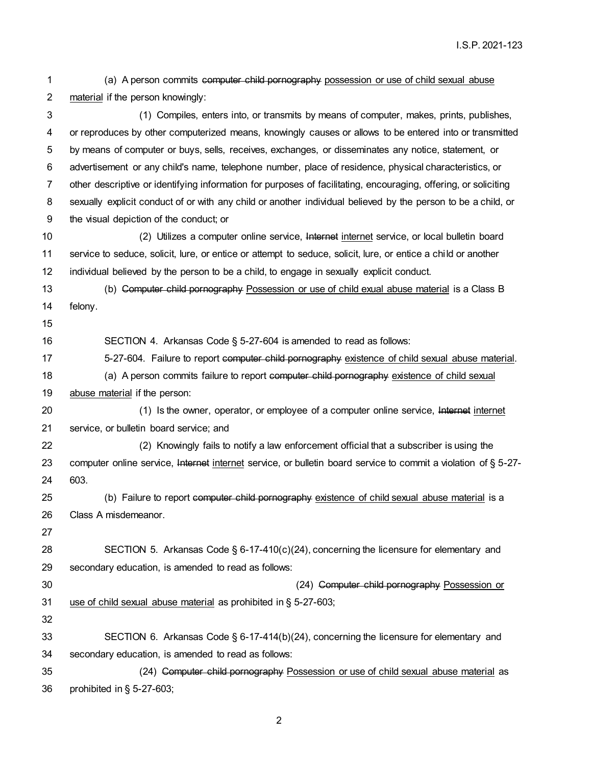material if the person knowingly: (1) Compiles, enters into, or transmits by means of computer, makes, prints, publishes, or reproduces by other computerized means, knowingly causes or allows to be entered into or transmitted by means of computer or buys, sells, receives, exchanges, or disseminates any notice, statement, or advertisement or any child's name, telephone number, place of residence, physical characteristics, or other descriptive or identifying information for purposes of facilitating, encouraging, offering, or soliciting sexually explicit conduct of or with any child or another individual believed by the person to be a child, or the visual depiction of the conduct; or (2) Utilizes a computer online service, Internet internet service, or local bulletin board service to seduce, solicit, lure, or entice or attempt to seduce, solicit, lure, or entice a chi ld or another individual believed by the person to be a child, to engage in sexually explicit conduct. (b) Computer child pornography Possession or use of child exual abuse material is a Class B felony. SECTION 4. Arkansas Code § 5-27-604 is amended to read as follows: 17 5-27-604. Failure to report computer child pornography existence of child sexual abuse material. 18 (a) A person commits failure to report computer child pornography existence of child sexual 19 abuse material if the person: (1) Is the owner, operator, or employee of a computer online service, Internet internet service, or bulletin board service; and (2) Knowingly fails to notify a law enforcement official that a subscriber is using the computer online service, Internet internet service, or bulletin board service to commit a violation of § 5-27- 603. (b) Failure to report computer child pornography existence of child sexual abuse material is a Class A misdemeanor. SECTION 5. Arkansas Code § 6-17-410(c)(24), concerning the licensure for elementary and secondary education, is amended to read as follows: (24) Computer child pornography Possession or use of child sexual abuse material as prohibited in § 5-27-603; SECTION 6. Arkansas Code § 6-17-414(b)(24), concerning the licensure for elementary and secondary education, is amended to read as follows: (24) Computer child pornography Possession or use of child sexual abuse material as prohibited in § 5-27-603;

(a) A person commits computer child pornography possession or use of child sexual abuse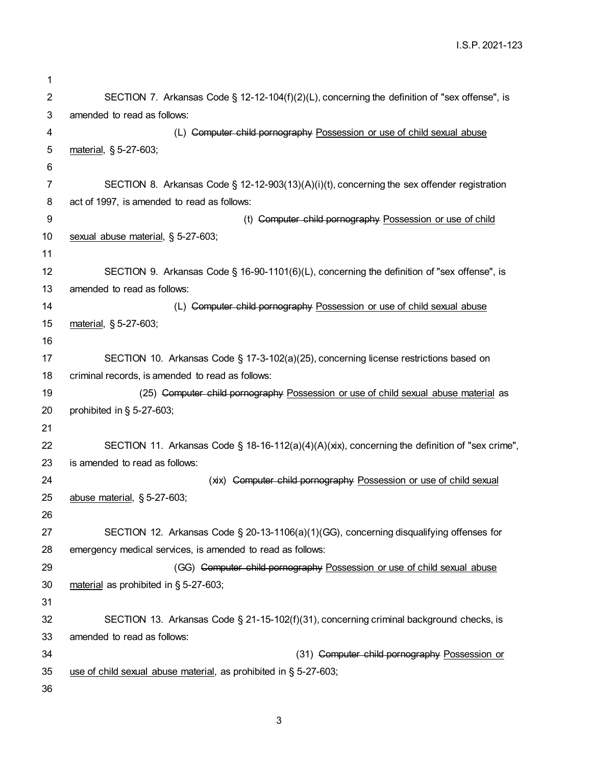I.S.P. 2021-123

| 1  |                                                                                                |
|----|------------------------------------------------------------------------------------------------|
| 2  | SECTION 7. Arkansas Code § 12-12-104(f)(2)(L), concerning the definition of "sex offense", is  |
| 3  | amended to read as follows:                                                                    |
| 4  | (L) Computer child pornography Possession or use of child sexual abuse                         |
| 5  | material, § 5-27-603;                                                                          |
| 6  |                                                                                                |
| 7  | SECTION 8. Arkansas Code § 12-12-903(13)(A)(i)(t), concerning the sex offender registration    |
| 8  | act of 1997, is amended to read as follows:                                                    |
| 9  | (t) Computer child pornography Possession or use of child                                      |
| 10 | sexual abuse material, § 5-27-603;                                                             |
| 11 |                                                                                                |
| 12 | SECTION 9. Arkansas Code § 16-90-1101(6)(L), concerning the definition of "sex offense", is    |
| 13 | amended to read as follows:                                                                    |
| 14 | (L) Computer child pornography Possession or use of child sexual abuse                         |
| 15 | material, § 5-27-603;                                                                          |
| 16 |                                                                                                |
| 17 | SECTION 10. Arkansas Code § 17-3-102(a)(25), concerning license restrictions based on          |
| 18 | criminal records, is amended to read as follows:                                               |
| 19 | (25) Computer child pornography Possession or use of child sexual abuse material as            |
| 20 | prohibited in $\S$ 5-27-603;                                                                   |
| 21 |                                                                                                |
| 22 | SECTION 11. Arkansas Code § 18-16-112(a)(4)(A)(xix), concerning the definition of "sex crime", |
| 23 | is amended to read as follows:                                                                 |
| 24 | (xix) Computer child pornography Possession or use of child sexual                             |
| 25 | abuse material, $\S$ 5-27-603;                                                                 |
| 26 |                                                                                                |
| 27 | SECTION 12. Arkansas Code § 20-13-1106(a)(1)(GG), concerning disqualifying offenses for        |
| 28 | emergency medical services, is amended to read as follows:                                     |
| 29 | (GG) Computer child pornography Possession or use of child sexual abuse                        |
| 30 | material as prohibited in § 5-27-603;                                                          |
| 31 |                                                                                                |
| 32 | SECTION 13. Arkansas Code § 21-15-102(f)(31), concerning criminal background checks, is        |
| 33 | amended to read as follows:                                                                    |
| 34 | (31) Computer child pornography Possession or                                                  |
| 35 | use of child sexual abuse material, as prohibited in § 5-27-603;                               |
| 36 |                                                                                                |